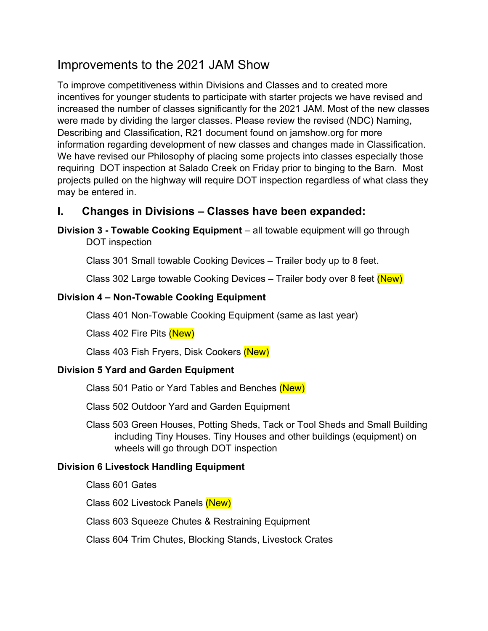# Improvements to the 2021 JAM Show

To improve competitiveness within Divisions and Classes and to created more incentives for younger students to participate with starter projects we have revised and increased the number of classes significantly for the 2021 JAM. Most of the new classes were made by dividing the larger classes. Please review the revised (NDC) Naming, Describing and Classification, R21 document found on jamshow.org for more information regarding development of new classes and changes made in Classification. We have revised our Philosophy of placing some projects into classes especially those requiring DOT inspection at Salado Creek on Friday prior to binging to the Barn. Most projects pulled on the highway will require DOT inspection regardless of what class they may be entered in.

## I. Changes in Divisions – Classes have been expanded:

Division 3 - Towable Cooking Equipment – all towable equipment will go through DOT inspection

Class 301 Small towable Cooking Devices – Trailer body up to 8 feet.

Class 302 Large towable Cooking Devices - Trailer body over 8 feet (New)

#### Division 4 – Non-Towable Cooking Equipment

Class 401 Non-Towable Cooking Equipment (same as last year)

Class 402 Fire Pits (New)

Class 403 Fish Fryers, Disk Cookers (New)

#### Division 5 Yard and Garden Equipment

Class 501 Patio or Yard Tables and Benches (New)

Class 502 Outdoor Yard and Garden Equipment

 Class 503 Green Houses, Potting Sheds, Tack or Tool Sheds and Small Building including Tiny Houses. Tiny Houses and other buildings (equipment) on wheels will go through DOT inspection

#### Division 6 Livestock Handling Equipment

Class 601 Gates

Class 602 Livestock Panels (New)

Class 603 Squeeze Chutes & Restraining Equipment

Class 604 Trim Chutes, Blocking Stands, Livestock Crates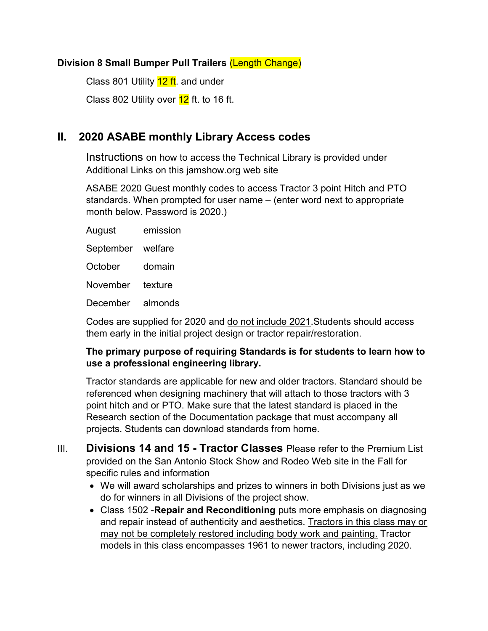#### Division 8 Small Bumper Pull Trailers (Length Change)

Class 801 Utility 12 ft. and under

Class 802 Utility over  $12$  ft. to 16 ft.

### II. 2020 ASABE monthly Library Access codes

Instructions on how to access the Technical Library is provided under Additional Links on this jamshow.org web site

ASABE 2020 Guest monthly codes to access Tractor 3 point Hitch and PTO standards. When prompted for user name – (enter word next to appropriate month below. Password is 2020.)

| August            | emission |
|-------------------|----------|
| September welfare |          |
| October           | domain   |
| November          | texture  |
| December          | almonds  |
|                   |          |

Codes are supplied for 2020 and do not include 2021.Students should access them early in the initial project design or tractor repair/restoration.

#### The primary purpose of requiring Standards is for students to learn how to use a professional engineering library.

Tractor standards are applicable for new and older tractors. Standard should be referenced when designing machinery that will attach to those tractors with 3 point hitch and or PTO. Make sure that the latest standard is placed in the Research section of the Documentation package that must accompany all projects. Students can download standards from home.

- III. Divisions 14 and 15 Tractor Classes Please refer to the Premium List provided on the San Antonio Stock Show and Rodeo Web site in the Fall for specific rules and information
	- We will award scholarships and prizes to winners in both Divisions just as we do for winners in all Divisions of the project show.
	- Class 1502 Repair and Reconditioning puts more emphasis on diagnosing and repair instead of authenticity and aesthetics. Tractors in this class may or may not be completely restored including body work and painting. Tractor models in this class encompasses 1961 to newer tractors, including 2020.